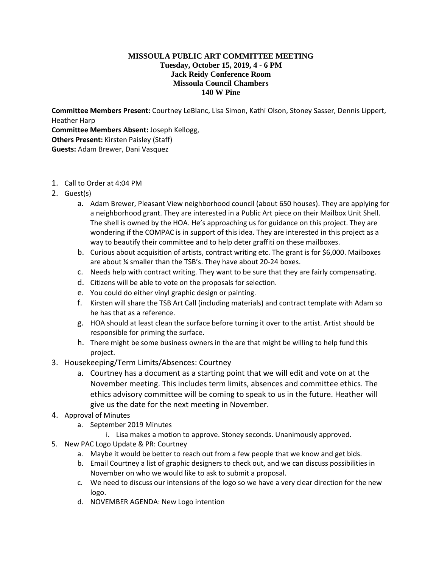## **MISSOULA PUBLIC ART COMMITTEE MEETING Tuesday, October 15, 2019, 4 - 6 PM Jack Reidy Conference Room Missoula Council Chambers 140 W Pine**

**Committee Members Present:** Courtney LeBlanc, Lisa Simon, Kathi Olson, Stoney Sasser, Dennis Lippert, Heather Harp **Committee Members Absent:** Joseph Kellogg, **Others Present:** Kirsten Paisley (Staff) **Guests:** Adam Brewer, Dani Vasquez

- 1. Call to Order at 4:04 PM
- 2. Guest(s)
	- a. Adam Brewer, Pleasant View neighborhood council (about 650 houses). They are applying for a neighborhood grant. They are interested in a Public Art piece on their Mailbox Unit Shell. The shell is owned by the HOA. He's approaching us for guidance on this project. They are wondering if the COMPAC is in support of this idea. They are interested in this project as a way to beautify their committee and to help deter graffiti on these mailboxes.
	- b. Curious about acquisition of artists, contract writing etc. The grant is for \$6,000. Mailboxes are about ¼ smaller than the TSB's. They have about 20-24 boxes.
	- c. Needs help with contract writing. They want to be sure that they are fairly compensating.
	- d. Citizens will be able to vote on the proposals for selection.
	- e. You could do either vinyl graphic design or painting.
	- f. Kirsten will share the TSB Art Call (including materials) and contract template with Adam so he has that as a reference.
	- g. HOA should at least clean the surface before turning it over to the artist. Artist should be responsible for priming the surface.
	- h. There might be some business owners in the are that might be willing to help fund this project.
- 3. Housekeeping/Term Limits/Absences: Courtney
	- a. Courtney has a document as a starting point that we will edit and vote on at the November meeting. This includes term limits, absences and committee ethics. The ethics advisory committee will be coming to speak to us in the future. Heather will give us the date for the next meeting in November.
- 4. Approval of Minutes
	- a. September 2019 Minutes
		- i. Lisa makes a motion to approve. Stoney seconds. Unanimously approved.
- 5. New PAC Logo Update & PR: Courtney
	- a. Maybe it would be better to reach out from a few people that we know and get bids.
	- b. Email Courtney a list of graphic designers to check out, and we can discuss possibilities in November on who we would like to ask to submit a proposal.
	- c. We need to discuss our intensions of the logo so we have a very clear direction for the new logo.
	- d. NOVEMBER AGENDA: New Logo intention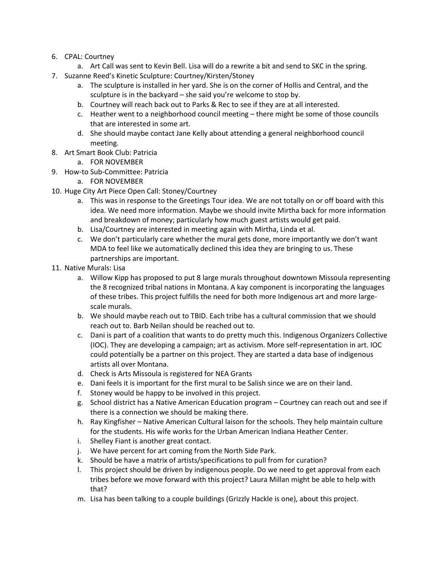- 6. CPAL: Courtney
	- a. Art Call was sent to Kevin Bell. Lisa will do a rewrite a bit and send to SKC in the spring.
- 7. Suzanne Reed's Kinetic Sculpture: Courtney/Kirsten/Stoney
	- a. The sculpture is installed in her yard. She is on the corner of Hollis and Central, and the sculpture is in the backyard – she said you're welcome to stop by.
	- b. Courtney will reach back out to Parks & Rec to see if they are at all interested.
	- c. Heather went to a neighborhood council meeting there might be some of those councils that are interested in some art.
	- d. She should maybe contact Jane Kelly about attending a general neighborhood council meeting.
- 8. Art Smart Book Club: Patricia
	- a. FOR NOVEMBER
- 9. How-to Sub-Committee: Patricia
	- a. FOR NOVEMBER
- 10. Huge City Art Piece Open Call: Stoney/Courtney
	- a. This was in response to the Greetings Tour idea. We are not totally on or off board with this idea. We need more information. Maybe we should invite Mirtha back for more information and breakdown of money; particularly how much guest artists would get paid.
	- b. Lisa/Courtney are interested in meeting again with Mirtha, Linda et al.
	- c. We don't particularly care whether the mural gets done, more importantly we don't want MDA to feel like we automatically declined this idea they are bringing to us. These partnerships are important.
- 11. Native Murals: Lisa
	- a. Willow Kipp has proposed to put 8 large murals throughout downtown Missoula representing the 8 recognized tribal nations in Montana. A kay component is incorporating the languages of these tribes. This project fulfills the need for both more Indigenous art and more largescale murals.
	- b. We should maybe reach out to TBID. Each tribe has a cultural commission that we should reach out to. Barb Neilan should be reached out to.
	- c. Dani is part of a coalition that wants to do pretty much this. Indigenous Organizers Collective (IOC). They are developing a campaign; art as activism. More self-representation in art. IOC could potentially be a partner on this project. They are started a data base of indigenous artists all over Montana.
	- d. Check is Arts Missoula is registered for NEA Grants
	- e. Dani feels it is important for the first mural to be Salish since we are on their land.
	- f. Stoney would be happy to be involved in this project.
	- g. School district has a Native American Education program Courtney can reach out and see if there is a connection we should be making there.
	- h. Ray Kingfisher Native American Cultural laison for the schools. They help maintain culture for the students. His wife works for the Urban American Indiana Heather Center.
	- i. Shelley Fiant is another great contact.
	- j. We have percent for art coming from the North Side Park.
	- k. Should be have a matrix of artists/specifications to pull from for curation?
	- l. This project should be driven by indigenous people. Do we need to get approval from each tribes before we move forward with this project? Laura Millan might be able to help with that?
	- m. Lisa has been talking to a couple buildings (Grizzly Hackle is one), about this project.